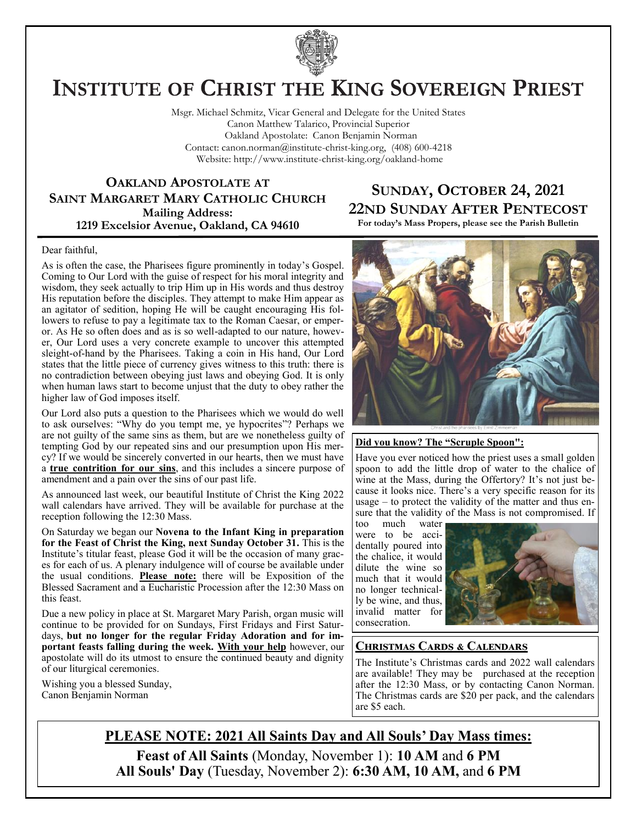

# **INSTITUTE OF CHRIST THE KING SOVEREIGN PRIEST**

Msgr. Michael Schmitz, Vicar General and Delegate for the United States Canon Matthew Talarico, Provincial Superior Oakland Apostolate: Canon Benjamin Norman Contact: canon.norman@institute-christ-king.org, (408) 600-4218 Website: http://www.institute-christ-king.org/oakland-home

#### **OAKLAND APOSTOLATE AT SAINT MARGARET MARY CATHOLIC CHURCH Mailing Address: 1219 Excelsior Avenue, Oakland, CA 94610**

### **SUNDAY, OCTOBER 24, 2021 22ND SUNDAY AFTER PENTECOST**

**For today's Mass Propers, please see the Parish Bulletin**

#### Dear faithful,

As is often the case, the Pharisees figure prominently in today's Gospel. Coming to Our Lord with the guise of respect for his moral integrity and wisdom, they seek actually to trip Him up in His words and thus destroy His reputation before the disciples. They attempt to make Him appear as an agitator of sedition, hoping He will be caught encouraging His followers to refuse to pay a legitimate tax to the Roman Caesar, or emperor. As He so often does and as is so well-adapted to our nature, however, Our Lord uses a very concrete example to uncover this attempted sleight-of-hand by the Pharisees. Taking a coin in His hand, Our Lord states that the little piece of currency gives witness to this truth: there is no contradiction between obeying just laws and obeying God. It is only when human laws start to become unjust that the duty to obey rather the higher law of God imposes itself.

Our Lord also puts a question to the Pharisees which we would do well to ask ourselves: "Why do you tempt me, ye hypocrites"? Perhaps we are not guilty of the same sins as them, but are we nonetheless guilty of tempting God by our repeated sins and our presumption upon His mercy? If we would be sincerely converted in our hearts, then we must have a **true contrition for our sins**, and this includes a sincere purpose of amendment and a pain over the sins of our past life.

As announced last week, our beautiful Institute of Christ the King 2022 wall calendars have arrived. They will be available for purchase at the reception following the 12:30 Mass.

On Saturday we began our **Novena to the Infant King in preparation for the Feast of Christ the King, next Sunday October 31.** This is the Institute's titular feast, please God it will be the occasion of many graces for each of us. A plenary indulgence will of course be available under the usual conditions. **Please note:** there will be Exposition of the Blessed Sacrament and a Eucharistic Procession after the 12:30 Mass on this feast.

Due a new policy in place at St. Margaret Mary Parish, organ music will continue to be provided for on Sundays, First Fridays and First Saturdays, **but no longer for the regular Friday Adoration and for important feasts falling during the week. With your help** however, our apostolate will do its utmost to ensure the continued beauty and dignity of our liturgical ceremonies.

Wishing you a blessed Sunday, Canon Benjamin Norman



#### **Did you know? The "Scruple Spoon":**

Have you ever noticed how the priest uses a small golden spoon to add the little drop of water to the chalice of wine at the Mass, during the Offertory? It's not just because it looks nice. There's a very specific reason for its usage – to protect the validity of the matter and thus ensure that the validity of the Mass is not compromised. If

too much water were to be accidentally poured into the chalice, it would dilute the wine so much that it would no longer technically be wine, and thus, invalid matter for consecration.



#### **Christmas Cards & Calendars**

The Institute's Christmas cards and 2022 wall calendars are available! They may be purchased at the reception after the 12:30 Mass, or by contacting Canon Norman. The Christmas cards are \$20 per pack, and the calendars are \$5 each.

**PLEASE NOTE: 2021 All Saints Day and All Souls' Day Mass times: Feast of All Saints** (Monday, November 1): **10 AM** and **6 PM All Souls' Day** (Tuesday, November 2): **6:30 AM, 10 AM,** and **6 PM**